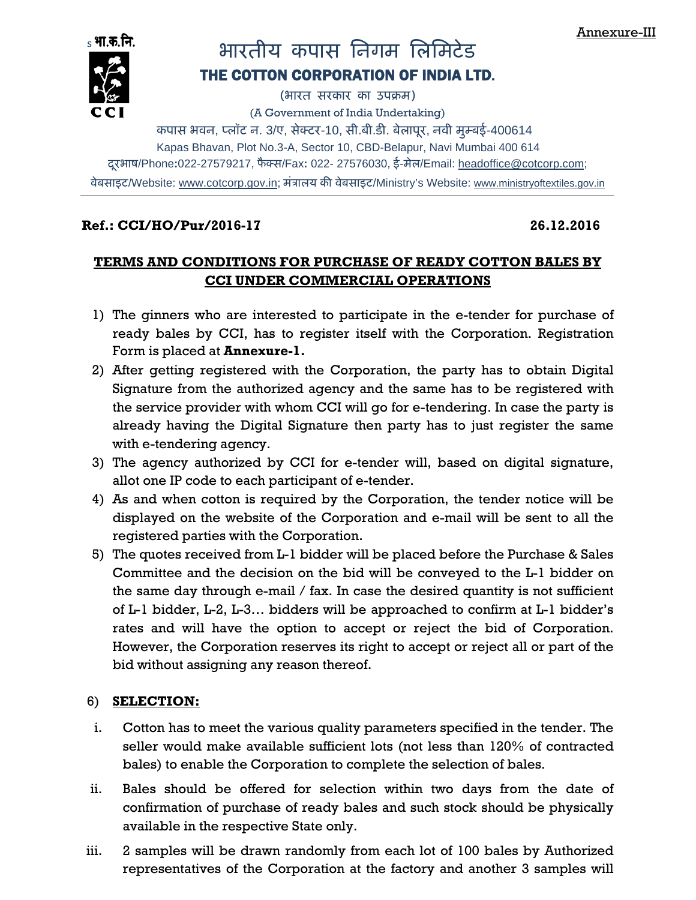

# <sub>s</sub>भाकती.<br>██ਦਾ – भारतीय कपास निगम लिमिटेड

# THE COTTON CORPORATION OF INDIA LTD.

(भारत सरकार का उपबम)

(A Government of India Undertaking)

कपास भवन, प्लॉट न. 3/ए, सेक्टर-10, सी.बी.डी. बेलापूर, नवी मुम्बई-400614

Kapas Bhavan, Plot No.3-A, Sector 10, CBD-Belapur, Navi Mumbai 400 614

दूरभाष/Phone:022-27579217, फैक्स/Fax: 022- 27576030, ई-मेल/Email: <u>headoffice@cotcorp.com</u>;

वेबसाइट/Website: www.cotcorp.gov.in; मंत्रालय की वेबसाइट/Ministry's Website: www.ministryoftextiles.gov.in

## **Ref.: CCI/HO/Pur/2016-17 26.12.2016**

# **TERMS AND CONDITIONS FOR PURCHASE OF READY COTTON BALES BY CCI UNDER COMMERCIAL OPERATIONS**

- 1) The ginners who are interested to participate in the e-tender for purchase of ready bales by CCI, has to register itself with the Corporation. Registration Form is placed at **Annexure-1.**
- 2) After getting registered with the Corporation, the party has to obtain Digital Signature from the authorized agency and the same has to be registered with the service provider with whom CCI will go for e-tendering. In case the party is already having the Digital Signature then party has to just register the same with e-tendering agency.
- 3) The agency authorized by CCI for e-tender will, based on digital signature, allot one IP code to each participant of e-tender.
- 4) As and when cotton is required by the Corporation, the tender notice will be displayed on the website of the Corporation and e-mail will be sent to all the registered parties with the Corporation.
- 5) The quotes received from L-1 bidder will be placed before the Purchase & Sales Committee and the decision on the bid will be conveyed to the L-1 bidder on the same day through e-mail / fax. In case the desired quantity is not sufficient of L-1 bidder, L-2, L-3… bidders will be approached to confirm at L-1 bidder's rates and will have the option to accept or reject the bid of Corporation. However, the Corporation reserves its right to accept or reject all or part of the bid without assigning any reason thereof.

# 6) **SELECTION:**

- i. Cotton has to meet the various quality parameters specified in the tender. The seller would make available sufficient lots (not less than 120% of contracted bales) to enable the Corporation to complete the selection of bales.
- ii. Bales should be offered for selection within two days from the date of confirmation of purchase of ready bales and such stock should be physically available in the respective State only.
- iii. 2 samples will be drawn randomly from each lot of 100 bales by Authorized representatives of the Corporation at the factory and another 3 samples will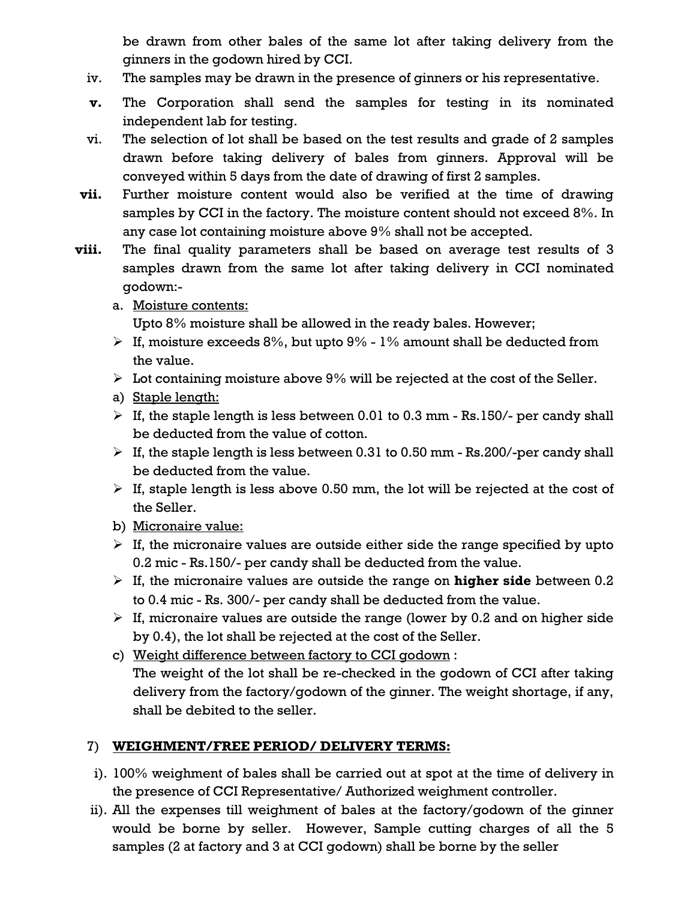be drawn from other bales of the same lot after taking delivery from the ginners in the godown hired by CCI.

- iv. The samples may be drawn in the presence of ginners or his representative.
- **v.** The Corporation shall send the samples for testing in its nominated independent lab for testing.
- vi. The selection of lot shall be based on the test results and grade of 2 samples drawn before taking delivery of bales from ginners. Approval will be conveyed within 5 days from the date of drawing of first 2 samples.
- **vii.** Further moisture content would also be verified at the time of drawing samples by CCI in the factory. The moisture content should not exceed 8%. In any case lot containing moisture above 9% shall not be accepted.
- **viii.** The final quality parameters shall be based on average test results of 3 samples drawn from the same lot after taking delivery in CCI nominated godown:
	- a. Moisture contents:

Upto 8% moisture shall be allowed in the ready bales. However;

- $\triangleright$  If, moisture exceeds 8%, but upto 9% 1% amount shall be deducted from the value.
- $\triangleright$  Lot containing moisture above 9% will be rejected at the cost of the Seller.
- a) Staple length:
- $\triangleright$  If, the staple length is less between 0.01 to 0.3 mm Rs.150/- per candy shall be deducted from the value of cotton.
- $\triangleright$  If, the staple length is less between 0.31 to 0.50 mm Rs.200/-per candy shall be deducted from the value.
- $\triangleright$  If, staple length is less above 0.50 mm, the lot will be rejected at the cost of the Seller.
- b) Micronaire value:
- $\triangleright$  If, the micronaire values are outside either side the range specified by upto 0.2 mic - Rs.150/- per candy shall be deducted from the value.
- ¾ If, the micronaire values are outside the range on **higher side** between 0.2 to 0.4 mic - Rs. 300/- per candy shall be deducted from the value.
- $\triangleright$  If, micronaire values are outside the range (lower by 0.2 and on higher side by 0.4), the lot shall be rejected at the cost of the Seller.
- c) Weight difference between factory to CCI godown : The weight of the lot shall be re-checked in the godown of CCI after taking delivery from the factory/godown of the ginner. The weight shortage, if any, shall be debited to the seller.

# 7) **WEIGHMENT/FREE PERIOD/ DELIVERY TERMS:**

- i). 100% weighment of bales shall be carried out at spot at the time of delivery in the presence of CCI Representative/ Authorized weighment controller.
- ii). All the expenses till weighment of bales at the factory/godown of the ginner would be borne by seller. However, Sample cutting charges of all the 5 samples (2 at factory and 3 at CCI godown) shall be borne by the seller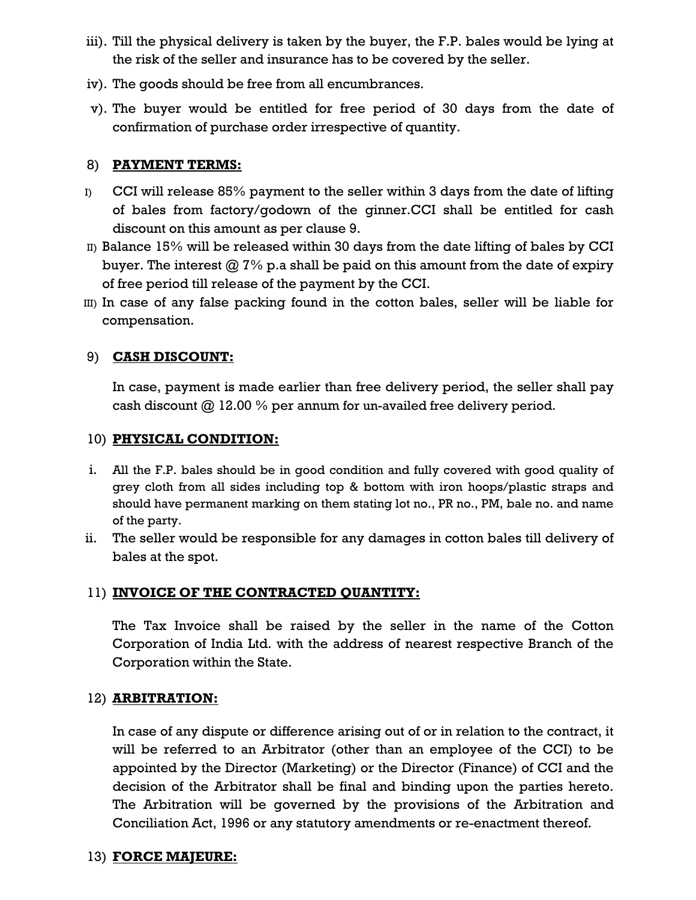- iii). Till the physical delivery is taken by the buyer, the F.P. bales would be lying at the risk of the seller and insurance has to be covered by the seller.
- iv). The goods should be free from all encumbrances.
- v). The buyer would be entitled for free period of 30 days from the date of confirmation of purchase order irrespective of quantity.

#### 8) **PAYMENT TERMS:**

- $I$  CCI will release 85% payment to the seller within 3 days from the date of lifting of bales from factory/godown of the ginner.CCI shall be entitled for cash discount on this amount as per clause 9.
- II) Balance 15% will be released within 30 days from the date lifting of bales by CCI buyer. The interest  $@ 7\%$  p.a shall be paid on this amount from the date of expiry of free period till release of the payment by the CCI.
- III) In case of any false packing found in the cotton bales, seller will be liable for compensation.

#### 9) **CASH DISCOUNT:**

In case, payment is made earlier than free delivery period, the seller shall pay cash discount @ 12.00 % per annum for un-availed free delivery period.

#### 10) **PHYSICAL CONDITION:**

- i. All the F.P. bales should be in good condition and fully covered with good quality of grey cloth from all sides including top & bottom with iron hoops/plastic straps and should have permanent marking on them stating lot no., PR no., PM, bale no. and name of the party.
- ii. The seller would be responsible for any damages in cotton bales till delivery of bales at the spot.

### 11) **INVOICE OF THE CONTRACTED QUANTITY:**

The Tax Invoice shall be raised by the seller in the name of the Cotton Corporation of India Ltd. with the address of nearest respective Branch of the Corporation within the State.

#### 12) **ARBITRATION:**

In case of any dispute or difference arising out of or in relation to the contract, it will be referred to an Arbitrator (other than an employee of the CCI) to be appointed by the Director (Marketing) or the Director (Finance) of CCI and the decision of the Arbitrator shall be final and binding upon the parties hereto. The Arbitration will be governed by the provisions of the Arbitration and Conciliation Act, 1996 or any statutory amendments or re-enactment thereof.

#### 13) **FORCE MAJEURE:**